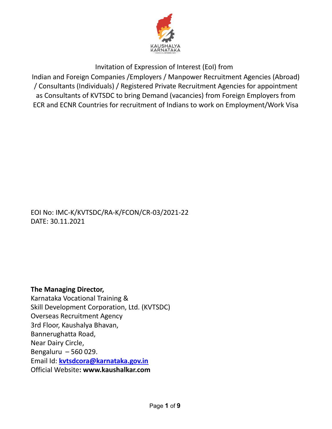

Invitation of Expression of Interest (EoI) from

Indian and Foreign Companies /Employers / Manpower Recruitment Agencies (Abroad) / Consultants (Individuals) / Registered Private Recruitment Agencies for appointment as Consultants of KVTSDC to bring Demand (vacancies) from Foreign Employers from ECR and ECNR Countries for recruitment of Indians to work on Employment/Work Visa

## EOI No: IMC-K/KVTSDC/RA-K/FCON/CR-03/2021-22 DATE: 30.11.2021

**The Managing Director,** Karnataka Vocational Training & Skill Development Corporation, Ltd. (KVTSDC) Overseas Recruitment Agency 3rd Floor, Kaushalya Bhavan, Bannerughatta Road, Near Dairy Circle, Bengaluru – 560 029. Email Id: **[kvtsdcora@karnataka.gov.in](mailto:kvtsdcora@karnataka.gov.in)** Official Website**: [www.kaushalkar.com](http://www.kaushalkar.com)**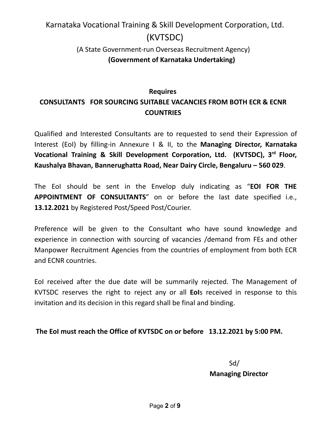# Karnataka Vocational Training & Skill Development Corporation, Ltd. (KVTSDC)

# (A State Government-run Overseas Recruitment Agency) **(Government of Karnataka Undertaking)**

# **Requires CONSULTANTS FOR SOURCING SUITABLE VACANCIES FROM BOTH ECR & ECNR COUNTRIES**

Qualified and Interested Consultants are to requested to send their Expression of Interest (EoI) by filling-in Annexure I & II, to the **Managing Director, Karnataka Vocational Training & Skill Development Corporation, Ltd. (KVTSDC), 3 rd Floor, Kaushalya Bhavan, Bannerughatta Road, Near Dairy Circle, Bengaluru – 560 029**.

The EoI should be sent in the Envelop duly indicating as "**EOI FOR THE APPOINTMENT OF CONSULTANTS**" on or before the last date specified i.e., **13.12.2021** by Registered Post/Speed Post/Courier.

Preference will be given to the Consultant who have sound knowledge and experience in connection with sourcing of vacancies /demand from FEs and other Manpower Recruitment Agencies from the countries of employment from both ECR and ECNR countries.

EoI received after the due date will be summarily rejected. The Management of KVTSDC reserves the right to reject any or all **EoI**s received in response to this invitation and its decision in this regard shall be final and binding.

#### **The EoI must reach the Office of KVTSDC on or before 13.12.2021 by 5:00 PM.**

Sd/ **Managing Director**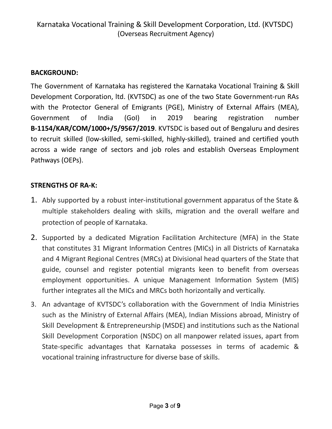# **BACKGROUND:**

The Government of Karnataka has registered the Karnataka Vocational Training & Skill Development Corporation, ltd. (KVTSDC) as one of the two State Government-run RAs with the Protector General of Emigrants (PGE), Ministry of External Affairs (MEA), Government of India (GoI) in 2019 bearing registration number **B-1154/KAR/COM/1000+/5/9567/2019**. KVTSDC is based out of Bengaluru and desires to recruit skilled (low-skilled, semi-skilled, highly-skilled), trained and certified youth across a wide range of sectors and job roles and establish Overseas Employment Pathways (OEPs).

# **STRENGTHS OF RA-K:**

- 1. Ably supported by a robust inter-institutional government apparatus of the State & multiple stakeholders dealing with skills, migration and the overall welfare and protection of people of Karnataka.
- 2. Supported by a dedicated Migration Facilitation Architecture (MFA) in the State that constitutes 31 Migrant Information Centres (MICs) in all Districts of Karnataka and 4 Migrant Regional Centres (MRCs) at Divisional head quarters of the State that guide, counsel and register potential migrants keen to benefit from overseas employment opportunities. A unique Management Information System (MIS) further integrates all the MICs and MRCs both horizontally and vertically.
- 3. An advantage of KVTSDC's collaboration with the Government of India Ministries such as the Ministry of External Affairs (MEA), Indian Missions abroad, Ministry of Skill Development & Entrepreneurship (MSDE) and institutions such as the National Skill Development Corporation (NSDC) on all manpower related issues, apart from State-specific advantages that Karnataka possesses in terms of academic & vocational training infrastructure for diverse base of skills.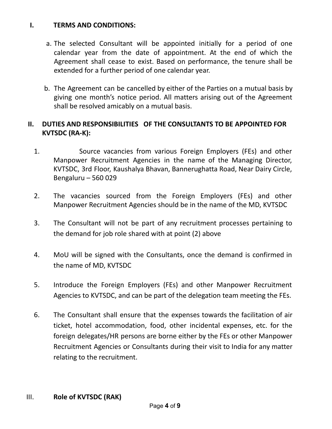#### **I. TERMS AND CONDITIONS:**

- a. The selected Consultant will be appointed initially for a period of one calendar year from the date of appointment. At the end of which the Agreement shall cease to exist. Based on performance, the tenure shall be extended for a further period of one calendar year.
- b. The Agreement can be cancelled by either of the Parties on a mutual basis by giving one month's notice period. All matters arising out of the Agreement shall be resolved amicably on a mutual basis.

# **II. DUTIES AND RESPONSIBILITIES OF THE CONSULTANTS TO BE APPOINTED FOR KVTSDC (RA-K):**

- 1. Source vacancies from various Foreign Employers (FEs) and other Manpower Recruitment Agencies in the name of the Managing Director, KVTSDC, 3rd Floor, Kaushalya Bhavan, Bannerughatta Road, Near Dairy Circle, Bengaluru – 560 029
- 2. The vacancies sourced from the Foreign Employers (FEs) and other Manpower Recruitment Agencies should be in the name of the MD, KVTSDC
- 3. The Consultant will not be part of any recruitment processes pertaining to the demand for job role shared with at point (2) above
- 4. MoU will be signed with the Consultants, once the demand is confirmed in the name of MD, KVTSDC
- 5. Introduce the Foreign Employers (FEs) and other Manpower Recruitment Agencies to KVTSDC, and can be part of the delegation team meeting the FEs.
- 6. The Consultant shall ensure that the expenses towards the facilitation of air ticket, hotel accommodation, food, other incidental expenses, etc. for the foreign delegates/HR persons are borne either by the FEs or other Manpower Recruitment Agencies or Consultants during their visit to India for any matter relating to the recruitment.
- III. **Role of KVTSDC (RAK)**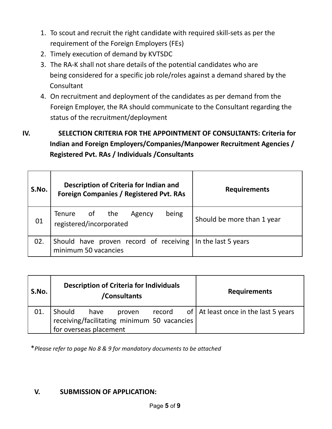- 1. To scout and recruit the right candidate with required skill-sets as per the requirement of the Foreign Employers (FEs)
- 2. Timely execution of demand by KVTSDC
- 3. The RA-K shall not share details of the potential candidates who are being considered for a specific job role/roles against a demand shared by the **Consultant**
- 4. On recruitment and deployment of the candidates as per demand from the Foreign Employer, the RA should communicate to the Consultant regarding the status of the recruitment/deployment
- **IV. SELECTION CRITERIA FOR THE APPOINTMENT OF CONSULTANTS: Criteria for Indian and Foreign Employers/Companies/Manpower Recruitment Agencies / Registered Pvt. RAs / Individuals /Consultants**

| S.No. | Description of Criteria for Indian and<br><b>Foreign Companies / Registered Pvt. RAs</b> | <b>Requirements</b>        |  |
|-------|------------------------------------------------------------------------------------------|----------------------------|--|
| 01    | being<br>Tenure of the<br>Agency<br>registered/incorporated                              | Should be more than 1 year |  |
| 02.   | Should have proven record of receiving In the last 5 years<br>minimum 50 vacancies       |                            |  |

| S.No. | <b>Description of Criteria for Individuals</b><br>/Consultants                                    | <b>Requirements</b> |                                                     |
|-------|---------------------------------------------------------------------------------------------------|---------------------|-----------------------------------------------------|
| 01.   | Should<br>have<br>proven<br>receiving/facilitating minimum 50 vacancies<br>for overseas placement |                     | record of $\vert$ At least once in the last 5 years |

\**Please refer to page No 8 & 9 for mandatory documents to be attached*

# **V. SUBMISSION OF APPLICATION:**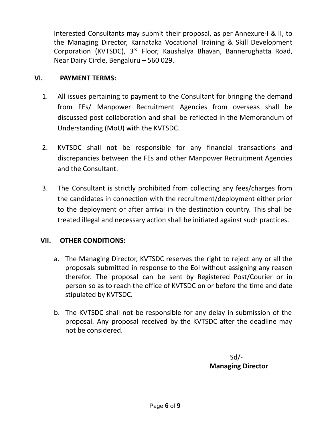Interested Consultants may submit their proposal, as per Annexure-I & II, to the Managing Director, Karnataka Vocational Training & Skill Development Corporation (KVTSDC), 3<sup>rd</sup> Floor, Kaushalya Bhavan, Bannerughatta Road, Near Dairy Circle, Bengaluru – 560 029.

### **VI. PAYMENT TERMS:**

- 1. All issues pertaining to payment to the Consultant for bringing the demand from FEs/ Manpower Recruitment Agencies from overseas shall be discussed post collaboration and shall be reflected in the Memorandum of Understanding (MoU) with the KVTSDC.
- 2. KVTSDC shall not be responsible for any financial transactions and discrepancies between the FEs and other Manpower Recruitment Agencies and the Consultant.
- 3. The Consultant is strictly prohibited from collecting any fees/charges from the candidates in connection with the recruitment/deployment either prior to the deployment or after arrival in the destination country. This shall be treated illegal and necessary action shall be initiated against such practices.

#### **VII. OTHER CONDITIONS:**

- a. The Managing Director, KVTSDC reserves the right to reject any or all the proposals submitted in response to the EoI without assigning any reason therefor. The proposal can be sent by Registered Post/Courier or in person so as to reach the office of KVTSDC on or before the time and date stipulated by KVTSDC.
- b. The KVTSDC shall not be responsible for any delay in submission of the proposal. Any proposal received by the KVTSDC after the deadline may not be considered.

Sd/- **Managing Director**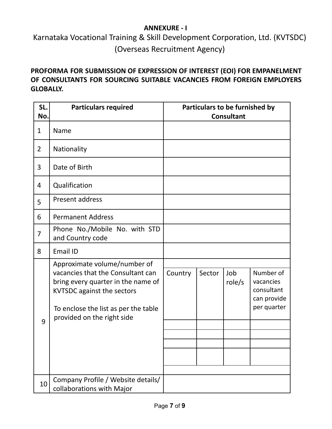### **ANNEXURE - I**

Karnataka Vocational Training & Skill Development Corporation, Ltd. (KVTSDC) (Overseas Recruitment Agency)

# **PROFORMA FOR SUBMISSION OF EXPRESSION OF INTEREST (EOI) FOR EMPANELMENT OF CONSULTANTS FOR SOURCING SUITABLE VACANCIES FROM FOREIGN EMPLOYERS GLOBALLY.**

| SL.<br>No.     | <b>Particulars required</b>                                                                                                                                                                                        | Particulars to be furnished by<br><b>Consultant</b> |        |               |                                                                    |
|----------------|--------------------------------------------------------------------------------------------------------------------------------------------------------------------------------------------------------------------|-----------------------------------------------------|--------|---------------|--------------------------------------------------------------------|
| $\mathbf{1}$   | Name                                                                                                                                                                                                               |                                                     |        |               |                                                                    |
| $\overline{2}$ | Nationality                                                                                                                                                                                                        |                                                     |        |               |                                                                    |
| 3              | Date of Birth                                                                                                                                                                                                      |                                                     |        |               |                                                                    |
| 4              | Qualification                                                                                                                                                                                                      |                                                     |        |               |                                                                    |
| 5              | Present address                                                                                                                                                                                                    |                                                     |        |               |                                                                    |
| 6              | <b>Permanent Address</b>                                                                                                                                                                                           |                                                     |        |               |                                                                    |
| 7              | Phone No./Mobile No. with STD<br>and Country code                                                                                                                                                                  |                                                     |        |               |                                                                    |
| 8              | <b>Email ID</b>                                                                                                                                                                                                    |                                                     |        |               |                                                                    |
| 9              | Approximate volume/number of<br>vacancies that the Consultant can<br>bring every quarter in the name of<br><b>KVTSDC against the sectors</b><br>To enclose the list as per the table<br>provided on the right side | Country                                             | Sector | Job<br>role/s | Number of<br>vacancies<br>consultant<br>can provide<br>per quarter |
| 10             | Company Profile / Website details/<br>collaborations with Major                                                                                                                                                    |                                                     |        |               |                                                                    |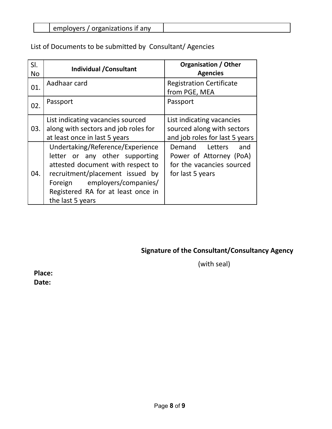| $\sim$ 100.10 $\sim$<br>organizations if anv<br><br>,,,<br>. |  |
|--------------------------------------------------------------|--|
| dil                                                          |  |

List of Documents to be submitted by Consultant/ Agencies

| SI.<br>No. | <b>Individual / Consultant</b>                                                                                                                                                                                                       | <b>Organisation / Other</b><br><b>Agencies</b>                                                       |
|------------|--------------------------------------------------------------------------------------------------------------------------------------------------------------------------------------------------------------------------------------|------------------------------------------------------------------------------------------------------|
| 01.        | Aadhaar card                                                                                                                                                                                                                         | <b>Registration Certificate</b><br>from PGE, MEA                                                     |
| 02.        | Passport                                                                                                                                                                                                                             | Passport                                                                                             |
| 03.        | List indicating vacancies sourced<br>along with sectors and job roles for<br>at least once in last 5 years                                                                                                                           | List indicating vacancies<br>sourced along with sectors<br>and job roles for last 5 years            |
| 04.        | Undertaking/Reference/Experience<br>letter or any other supporting<br>attested document with respect to<br>recruitment/placement issued by<br>Foreign employers/companies/<br>Registered RA for at least once in<br>the last 5 years | Demand<br>Letters<br>and<br>Power of Attorney (PoA)<br>for the vacancies sourced<br>for last 5 years |

# **Signature of the Consultant/Consultancy Agency**

(with seal)

**Place: Date:**